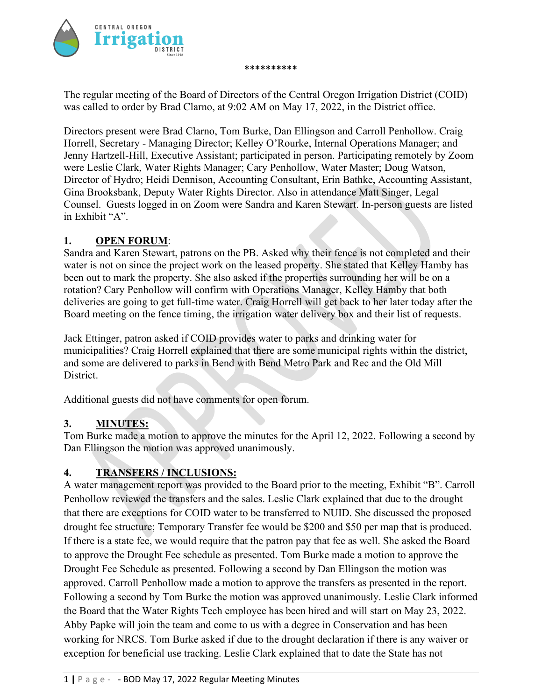

The regular meeting of the Board of Directors of the Central Oregon Irrigation District (COID) was called to order by Brad Clarno, at 9:02 AM on May 17, 2022, in the District office.

**\*\*\*\*\*\*\*\*\*\***

Directors present were Brad Clarno, Tom Burke, Dan Ellingson and Carroll Penhollow. Craig Horrell, Secretary - Managing Director; Kelley O'Rourke, Internal Operations Manager; and Jenny Hartzell-Hill, Executive Assistant; participated in person. Participating remotely by Zoom were Leslie Clark, Water Rights Manager; Cary Penhollow, Water Master; Doug Watson, Director of Hydro; Heidi Dennison, Accounting Consultant, Erin Bathke, Accounting Assistant, Gina Brooksbank, Deputy Water Rights Director. Also in attendance Matt Singer, Legal Counsel. Guests logged in on Zoom were Sandra and Karen Stewart. In-person guests are listed in Exhibit "A".

## **1. OPEN FORUM**:

Sandra and Karen Stewart, patrons on the PB. Asked why their fence is not completed and their water is not on since the project work on the leased property. She stated that Kelley Hamby has been out to mark the property. She also asked if the properties surrounding her will be on a rotation? Cary Penhollow will confirm with Operations Manager, Kelley Hamby that both deliveries are going to get full-time water. Craig Horrell will get back to her later today after the Board meeting on the fence timing, the irrigation water delivery box and their list of requests.

Jack Ettinger, patron asked if COID provides water to parks and drinking water for municipalities? Craig Horrell explained that there are some municipal rights within the district, and some are delivered to parks in Bend with Bend Metro Park and Rec and the Old Mill District.

Additional guests did not have comments for open forum.

# **3. MINUTES:**

Tom Burke made a motion to approve the minutes for the April 12, 2022. Following a second by Dan Ellingson the motion was approved unanimously.

# **4. TRANSFERS / INCLUSIONS:**

A water management report was provided to the Board prior to the meeting, Exhibit "B". Carroll Penhollow reviewed the transfers and the sales. Leslie Clark explained that due to the drought that there are exceptions for COID water to be transferred to NUID. She discussed the proposed drought fee structure; Temporary Transfer fee would be \$200 and \$50 per map that is produced. If there is a state fee, we would require that the patron pay that fee as well. She asked the Board to approve the Drought Fee schedule as presented. Tom Burke made a motion to approve the Drought Fee Schedule as presented. Following a second by Dan Ellingson the motion was approved. Carroll Penhollow made a motion to approve the transfers as presented in the report. Following a second by Tom Burke the motion was approved unanimously. Leslie Clark informed the Board that the Water Rights Tech employee has been hired and will start on May 23, 2022. Abby Papke will join the team and come to us with a degree in Conservation and has been working for NRCS. Tom Burke asked if due to the drought declaration if there is any waiver or exception for beneficial use tracking. Leslie Clark explained that to date the State has not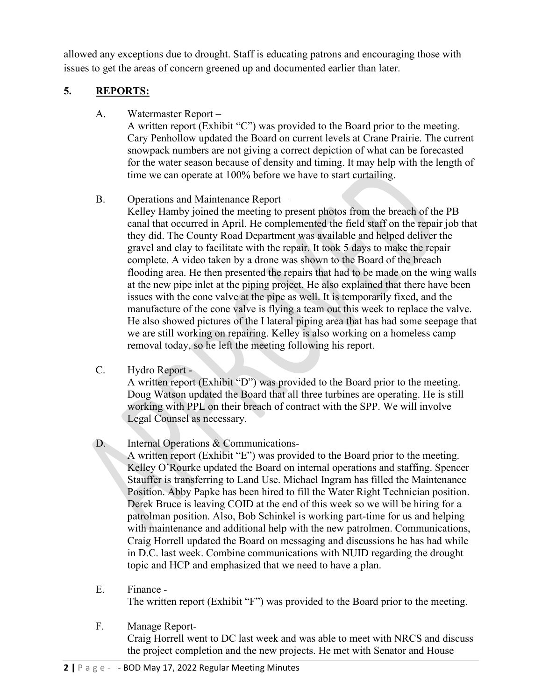allowed any exceptions due to drought. Staff is educating patrons and encouraging those with issues to get the areas of concern greened up and documented earlier than later.

# **5. REPORTS:**

A. Watermaster Report –

A written report (Exhibit "C") was provided to the Board prior to the meeting. Cary Penhollow updated the Board on current levels at Crane Prairie. The current snowpack numbers are not giving a correct depiction of what can be forecasted for the water season because of density and timing. It may help with the length of time we can operate at 100% before we have to start curtailing.

B. Operations and Maintenance Report –

Kelley Hamby joined the meeting to present photos from the breach of the PB canal that occurred in April. He complemented the field staff on the repair job that they did. The County Road Department was available and helped deliver the gravel and clay to facilitate with the repair. It took 5 days to make the repair complete. A video taken by a drone was shown to the Board of the breach flooding area. He then presented the repairs that had to be made on the wing walls at the new pipe inlet at the piping project. He also explained that there have been issues with the cone valve at the pipe as well. It is temporarily fixed, and the manufacture of the cone valve is flying a team out this week to replace the valve. He also showed pictures of the I lateral piping area that has had some seepage that we are still working on repairing. Kelley is also working on a homeless camp removal today, so he left the meeting following his report.

C. Hydro Report -

A written report (Exhibit "D") was provided to the Board prior to the meeting. Doug Watson updated the Board that all three turbines are operating. He is still working with PPL on their breach of contract with the SPP. We will involve Legal Counsel as necessary.

D. Internal Operations & Communications-

A written report (Exhibit "E") was provided to the Board prior to the meeting. Kelley O'Rourke updated the Board on internal operations and staffing. Spencer Stauffer is transferring to Land Use. Michael Ingram has filled the Maintenance Position. Abby Papke has been hired to fill the Water Right Technician position. Derek Bruce is leaving COID at the end of this week so we will be hiring for a patrolman position. Also, Bob Schinkel is working part-time for us and helping with maintenance and additional help with the new patrolmen. Communications, Craig Horrell updated the Board on messaging and discussions he has had while in D.C. last week. Combine communications with NUID regarding the drought topic and HCP and emphasized that we need to have a plan.

- E. Finance The written report (Exhibit "F") was provided to the Board prior to the meeting.
- F. Manage Report-Craig Horrell went to DC last week and was able to meet with NRCS and discuss the project completion and the new projects. He met with Senator and House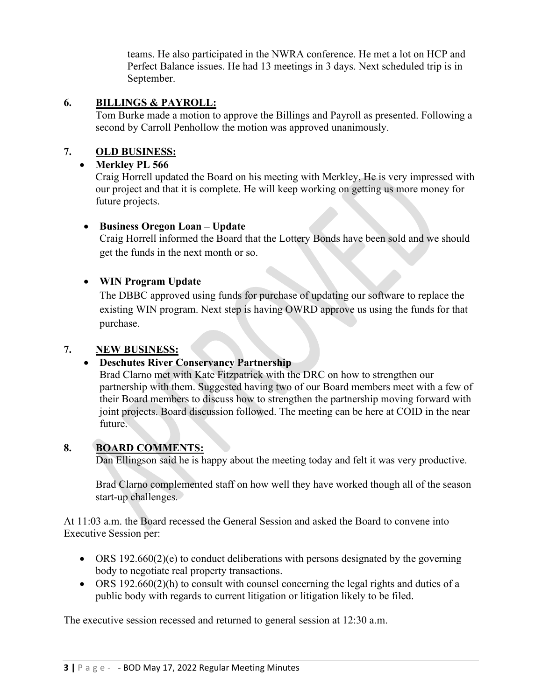teams. He also participated in the NWRA conference. He met a lot on HCP and Perfect Balance issues. He had 13 meetings in 3 days. Next scheduled trip is in September.

## **6. BILLINGS & PAYROLL:**

Tom Burke made a motion to approve the Billings and Payroll as presented. Following a second by Carroll Penhollow the motion was approved unanimously.

# **7. OLD BUSINESS:**

#### • **Merkley PL 566**

Craig Horrell updated the Board on his meeting with Merkley, He is very impressed with our project and that it is complete. He will keep working on getting us more money for future projects.

## • **Business Oregon Loan – Update**

Craig Horrell informed the Board that the Lottery Bonds have been sold and we should get the funds in the next month or so.

## • **WIN Program Update**

The DBBC approved using funds for purchase of updating our software to replace the existing WIN program. Next step is having OWRD approve us using the funds for that purchase.

# **7. NEW BUSINESS:**

#### • **Deschutes River Conservancy Partnership**

Brad Clarno met with Kate Fitzpatrick with the DRC on how to strengthen our partnership with them. Suggested having two of our Board members meet with a few of their Board members to discuss how to strengthen the partnership moving forward with joint projects. Board discussion followed. The meeting can be here at COID in the near future.

#### **8. BOARD COMMENTS:**

Dan Ellingson said he is happy about the meeting today and felt it was very productive.

Brad Clarno complemented staff on how well they have worked though all of the season start-up challenges.

At 11:03 a.m. the Board recessed the General Session and asked the Board to convene into Executive Session per:

- ORS 192.660(2)(e) to conduct deliberations with persons designated by the governing body to negotiate real property transactions.
- ORS 192.660(2)(h) to consult with counsel concerning the legal rights and duties of a public body with regards to current litigation or litigation likely to be filed.

The executive session recessed and returned to general session at 12:30 a.m.